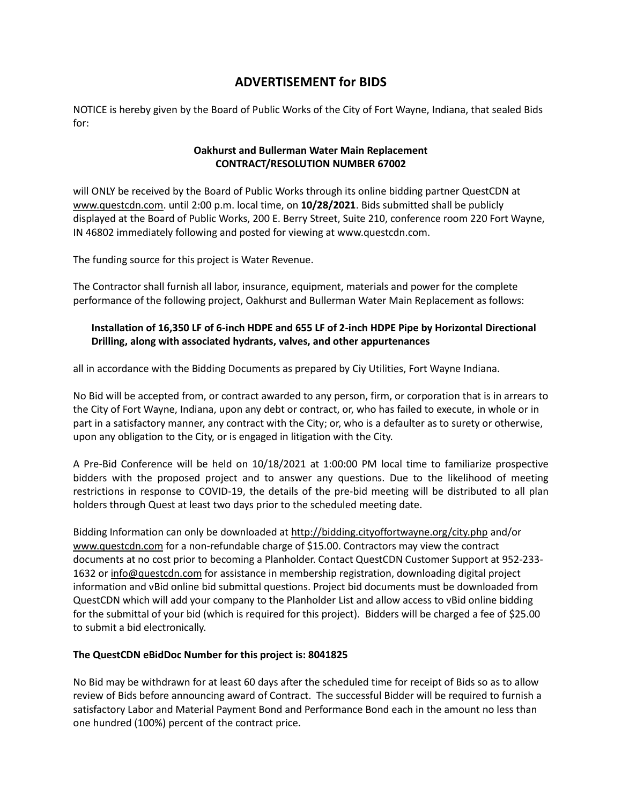## **ADVERTISEMENT for BIDS**

NOTICE is hereby given by the Board of Public Works of the City of Fort Wayne, Indiana, that sealed Bids for:

## **Oakhurst and Bullerman Water Main Replacement CONTRACT/RESOLUTION NUMBER 67002**

will ONLY be received by the Board of Public Works through its online bidding partner QuestCDN at [www.questcdn.com.](file:///C:/Users/ARWIFB/Downloads/www.questcdn.com) until 2:00 p.m. local time, on **10/28/2021**. Bids submitted shall be publicly displayed at the Board of Public Works, 200 E. Berry Street, Suite 210, conference room 220 Fort Wayne, IN 46802 immediately following and posted for viewing at www.questcdn.com.

The funding source for this project is Water Revenue.

The Contractor shall furnish all labor, insurance, equipment, materials and power for the complete performance of the following project, Oakhurst and Bullerman Water Main Replacement as follows:

## **Installation of 16,350 LF of 6-inch HDPE and 655 LF of 2-inch HDPE Pipe by Horizontal Directional Drilling, along with associated hydrants, valves, and other appurtenances**

all in accordance with the Bidding Documents as prepared by Ciy Utilities, Fort Wayne Indiana.

No Bid will be accepted from, or contract awarded to any person, firm, or corporation that is in arrears to the City of Fort Wayne, Indiana, upon any debt or contract, or, who has failed to execute, in whole or in part in a satisfactory manner, any contract with the City; or, who is a defaulter as to surety or otherwise, upon any obligation to the City, or is engaged in litigation with the City.

A Pre-Bid Conference will be held on 10/18/2021 at 1:00:00 PM local time to familiarize prospective bidders with the proposed project and to answer any questions. Due to the likelihood of meeting restrictions in response to COVID-19, the details of the pre-bid meeting will be distributed to all plan holders through Quest at least two days prior to the scheduled meeting date.

Bidding Information can only be downloaded a[t http://bidding.cityoffortwayne.org/city.php](http://bidding.cityoffortwayne.org/city.php) and/or [www.questcdn.com](file:///C:/Users/ARWIFB/Downloads/ww.questcdn.com) for a non-refundable charge of \$15.00. Contractors may view the contract documents at no cost prior to becoming a Planholder. Contact QuestCDN Customer Support at 952-233- 1632 or [info@questcdn.com](mailto:info@questcdn.com) for assistance in membership registration, downloading digital project information and vBid online bid submittal questions. Project bid documents must be downloaded from QuestCDN which will add your company to the Planholder List and allow access to vBid online bidding for the submittal of your bid (which is required for this project). Bidders will be charged a fee of \$25.00 to submit a bid electronically.

## **The QuestCDN eBidDoc Number for this project is: [8041825](https://www.questcdn.com/cdn/posting/edit/8041825/?path=309)**

No Bid may be withdrawn for at least 60 days after the scheduled time for receipt of Bids so as to allow review of Bids before announcing award of Contract. The successful Bidder will be required to furnish a satisfactory Labor and Material Payment Bond and Performance Bond each in the amount no less than one hundred (100%) percent of the contract price.